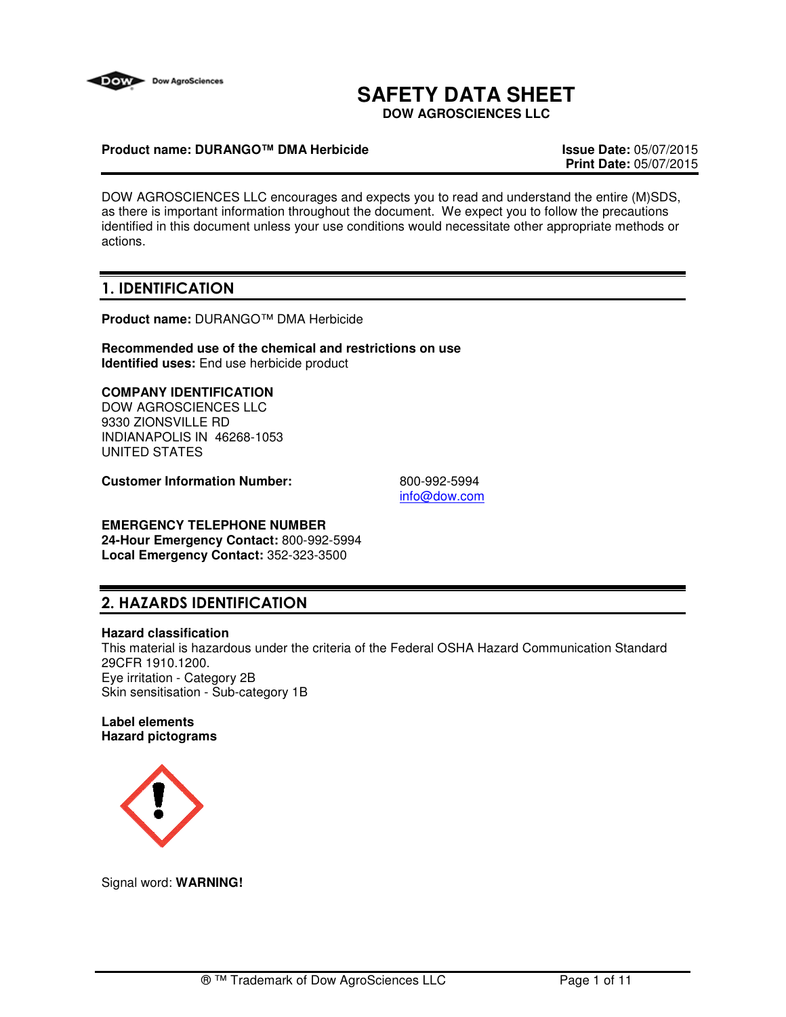

# **SAFETY DATA SHEET**

**DOW AGROSCIENCES LLC**

#### **Product name: DURANGO™ DMA Herbicide Issue Date:** 05/07/2015

**Print Date:** 05/07/2015

DOW AGROSCIENCES LLC encourages and expects you to read and understand the entire (M)SDS, as there is important information throughout the document. We expect you to follow the precautions identified in this document unless your use conditions would necessitate other appropriate methods or actions.

# 1. IDENTIFICATION

**Product name:** DURANGO™ DMA Herbicide

**Recommended use of the chemical and restrictions on use Identified uses:** End use herbicide product

## **COMPANY IDENTIFICATION**

DOW AGROSCIENCES LLC 9330 ZIONSVILLE RD INDIANAPOLIS IN 46268-1053 UNITED STATES

**Customer Information Number:** 800-992-5994

info@dow.com

# **EMERGENCY TELEPHONE NUMBER**

**24-Hour Emergency Contact:** 800-992-5994 **Local Emergency Contact:** 352-323-3500

# 2. HAZARDS IDENTIFICATION

#### **Hazard classification**

This material is hazardous under the criteria of the Federal OSHA Hazard Communication Standard 29CFR 1910.1200. Eye irritation - Category 2B Skin sensitisation - Sub-category 1B

#### **Label elements Hazard pictograms**



Signal word: **WARNING!**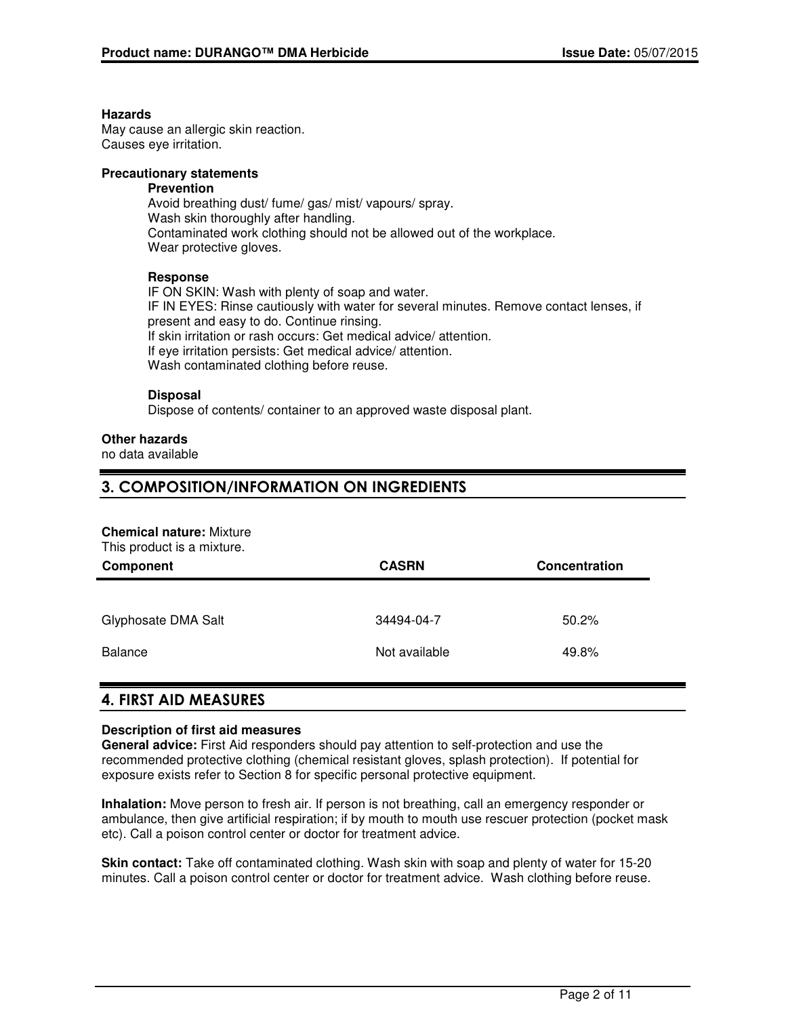#### **Hazards**

May cause an allergic skin reaction. Causes eye irritation.

#### **Precautionary statements**

## **Prevention**

Avoid breathing dust/ fume/ gas/ mist/ vapours/ spray. Wash skin thoroughly after handling. Contaminated work clothing should not be allowed out of the workplace. Wear protective gloves.

#### **Response**

IF ON SKIN: Wash with plenty of soap and water. IF IN EYES: Rinse cautiously with water for several minutes. Remove contact lenses, if present and easy to do. Continue rinsing. If skin irritation or rash occurs: Get medical advice/ attention. If eye irritation persists: Get medical advice/ attention. Wash contaminated clothing before reuse.

#### **Disposal**

Dispose of contents/ container to an approved waste disposal plant.

#### **Other hazards**

no data available

# 3. COMPOSITION/INFORMATION ON INGREDIENTS

# **Chemical nature:** Mixture

| This product is a mixture. |                                      |       |  |  |
|----------------------------|--------------------------------------|-------|--|--|
| Component                  | <b>CASRN</b><br><b>Concentration</b> |       |  |  |
|                            |                                      |       |  |  |
| Glyphosate DMA Salt        | 34494-04-7                           | 50.2% |  |  |
| Balance                    | Not available                        | 49.8% |  |  |
|                            |                                      |       |  |  |

# 4. FIRST AID MEASURES

#### **Description of first aid measures**

**General advice:** First Aid responders should pay attention to self-protection and use the recommended protective clothing (chemical resistant gloves, splash protection). If potential for exposure exists refer to Section 8 for specific personal protective equipment.

**Inhalation:** Move person to fresh air. If person is not breathing, call an emergency responder or ambulance, then give artificial respiration; if by mouth to mouth use rescuer protection (pocket mask etc). Call a poison control center or doctor for treatment advice.

**Skin contact:** Take off contaminated clothing. Wash skin with soap and plenty of water for 15-20 minutes. Call a poison control center or doctor for treatment advice. Wash clothing before reuse.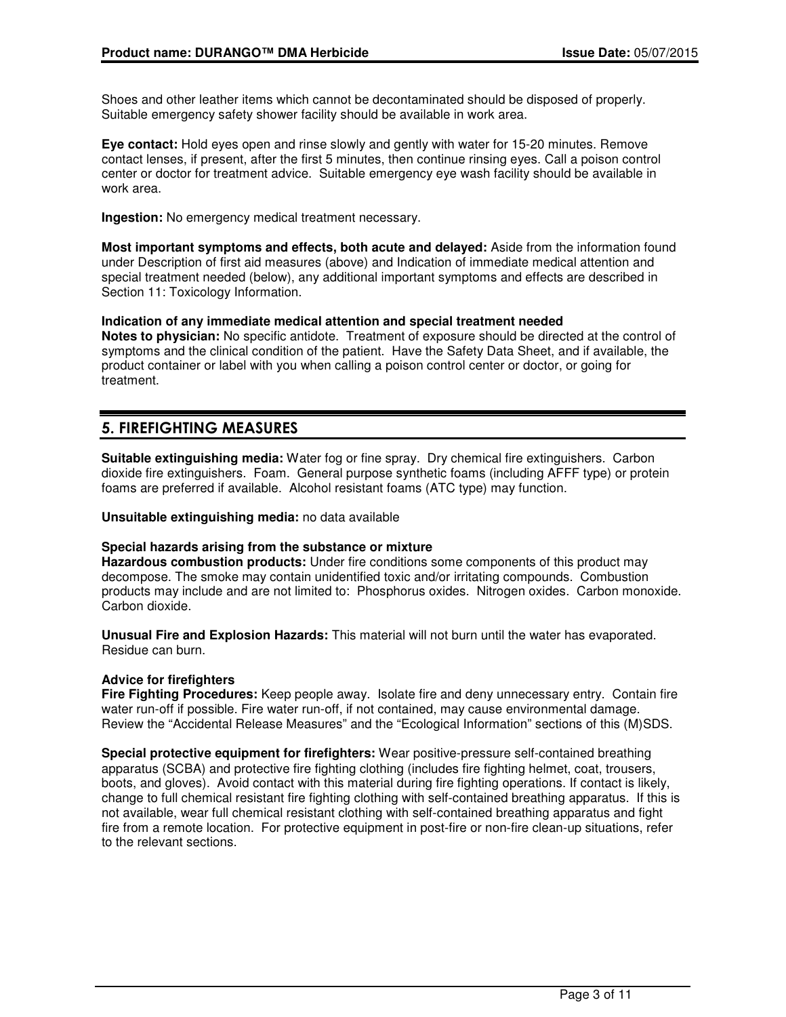Shoes and other leather items which cannot be decontaminated should be disposed of properly. Suitable emergency safety shower facility should be available in work area.

**Eye contact:** Hold eyes open and rinse slowly and gently with water for 15-20 minutes. Remove contact lenses, if present, after the first 5 minutes, then continue rinsing eyes. Call a poison control center or doctor for treatment advice. Suitable emergency eye wash facility should be available in work area.

**Ingestion:** No emergency medical treatment necessary.

**Most important symptoms and effects, both acute and delayed:** Aside from the information found under Description of first aid measures (above) and Indication of immediate medical attention and special treatment needed (below), any additional important symptoms and effects are described in Section 11: Toxicology Information.

**Indication of any immediate medical attention and special treatment needed**

**Notes to physician:** No specific antidote. Treatment of exposure should be directed at the control of symptoms and the clinical condition of the patient. Have the Safety Data Sheet, and if available, the product container or label with you when calling a poison control center or doctor, or going for treatment.

# 5. FIREFIGHTING MEASURES

**Suitable extinguishing media:** Water fog or fine spray. Dry chemical fire extinguishers. Carbon dioxide fire extinguishers. Foam. General purpose synthetic foams (including AFFF type) or protein foams are preferred if available. Alcohol resistant foams (ATC type) may function.

**Unsuitable extinguishing media:** no data available

#### **Special hazards arising from the substance or mixture**

**Hazardous combustion products:** Under fire conditions some components of this product may decompose. The smoke may contain unidentified toxic and/or irritating compounds. Combustion products may include and are not limited to: Phosphorus oxides. Nitrogen oxides. Carbon monoxide. Carbon dioxide.

**Unusual Fire and Explosion Hazards:** This material will not burn until the water has evaporated. Residue can burn.

#### **Advice for firefighters**

**Fire Fighting Procedures:** Keep people away. Isolate fire and deny unnecessary entry. Contain fire water run-off if possible. Fire water run-off, if not contained, may cause environmental damage. Review the "Accidental Release Measures" and the "Ecological Information" sections of this (M)SDS.

**Special protective equipment for firefighters:** Wear positive-pressure self-contained breathing apparatus (SCBA) and protective fire fighting clothing (includes fire fighting helmet, coat, trousers, boots, and gloves). Avoid contact with this material during fire fighting operations. If contact is likely, change to full chemical resistant fire fighting clothing with self-contained breathing apparatus. If this is not available, wear full chemical resistant clothing with self-contained breathing apparatus and fight fire from a remote location. For protective equipment in post-fire or non-fire clean-up situations, refer to the relevant sections.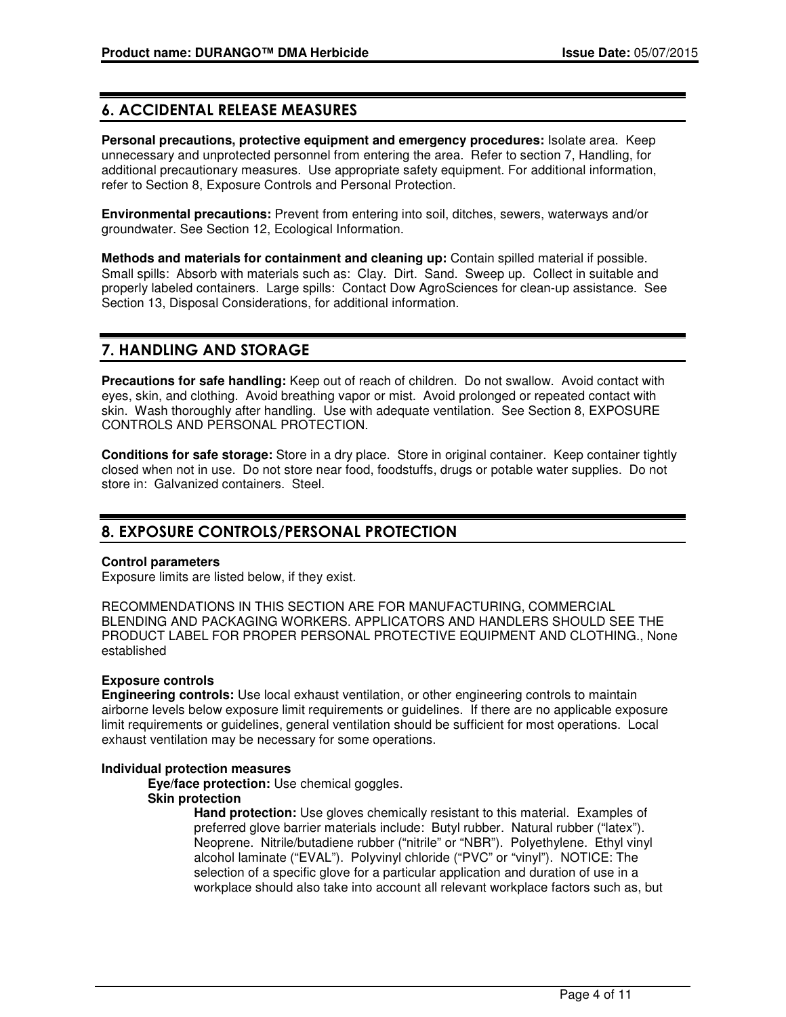# 6. ACCIDENTAL RELEASE MEASURES

**Personal precautions, protective equipment and emergency procedures:** Isolate area. Keep unnecessary and unprotected personnel from entering the area. Refer to section 7, Handling, for additional precautionary measures. Use appropriate safety equipment. For additional information, refer to Section 8, Exposure Controls and Personal Protection.

**Environmental precautions:** Prevent from entering into soil, ditches, sewers, waterways and/or groundwater. See Section 12, Ecological Information.

**Methods and materials for containment and cleaning up:** Contain spilled material if possible. Small spills: Absorb with materials such as: Clay. Dirt. Sand. Sweep up. Collect in suitable and properly labeled containers. Large spills: Contact Dow AgroSciences for clean-up assistance. See Section 13, Disposal Considerations, for additional information.

# 7. HANDLING AND STORAGE

**Precautions for safe handling:** Keep out of reach of children. Do not swallow. Avoid contact with eyes, skin, and clothing. Avoid breathing vapor or mist. Avoid prolonged or repeated contact with skin. Wash thoroughly after handling. Use with adequate ventilation. See Section 8, EXPOSURE CONTROLS AND PERSONAL PROTECTION.

**Conditions for safe storage:** Store in a dry place. Store in original container. Keep container tightly closed when not in use. Do not store near food, foodstuffs, drugs or potable water supplies. Do not store in: Galvanized containers. Steel.

# 8. EXPOSURE CONTROLS/PERSONAL PROTECTION

#### **Control parameters**

Exposure limits are listed below, if they exist.

RECOMMENDATIONS IN THIS SECTION ARE FOR MANUFACTURING, COMMERCIAL BLENDING AND PACKAGING WORKERS. APPLICATORS AND HANDLERS SHOULD SEE THE PRODUCT LABEL FOR PROPER PERSONAL PROTECTIVE EQUIPMENT AND CLOTHING., None established

#### **Exposure controls**

**Engineering controls:** Use local exhaust ventilation, or other engineering controls to maintain airborne levels below exposure limit requirements or guidelines. If there are no applicable exposure limit requirements or guidelines, general ventilation should be sufficient for most operations. Local exhaust ventilation may be necessary for some operations.

#### **Individual protection measures**

**Eye/face protection:** Use chemical goggles.

#### **Skin protection**

**Hand protection:** Use gloves chemically resistant to this material. Examples of preferred glove barrier materials include: Butyl rubber. Natural rubber ("latex"). Neoprene. Nitrile/butadiene rubber ("nitrile" or "NBR"). Polyethylene. Ethyl vinyl alcohol laminate ("EVAL"). Polyvinyl chloride ("PVC" or "vinyl"). NOTICE: The selection of a specific glove for a particular application and duration of use in a workplace should also take into account all relevant workplace factors such as, but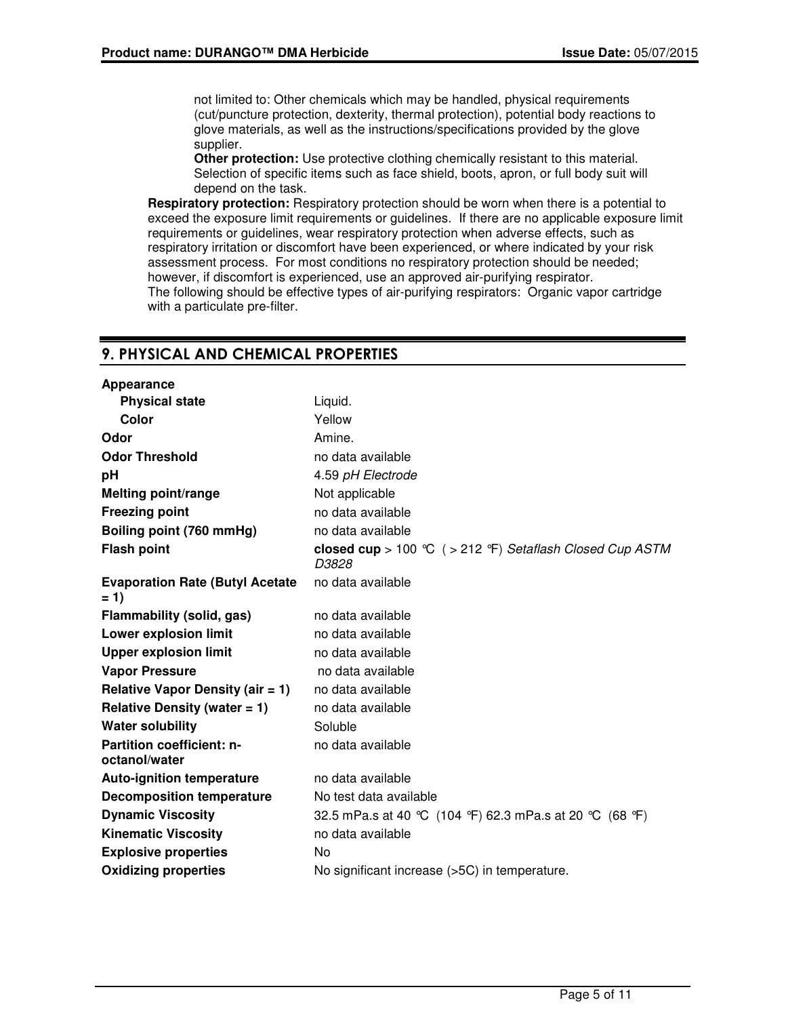not limited to: Other chemicals which may be handled, physical requirements (cut/puncture protection, dexterity, thermal protection), potential body reactions to glove materials, as well as the instructions/specifications provided by the glove supplier.

**Other protection:** Use protective clothing chemically resistant to this material. Selection of specific items such as face shield, boots, apron, or full body suit will depend on the task.

**Respiratory protection:** Respiratory protection should be worn when there is a potential to exceed the exposure limit requirements or guidelines. If there are no applicable exposure limit requirements or guidelines, wear respiratory protection when adverse effects, such as respiratory irritation or discomfort have been experienced, or where indicated by your risk assessment process. For most conditions no respiratory protection should be needed; however, if discomfort is experienced, use an approved air-purifying respirator. The following should be effective types of air-purifying respirators: Organic vapor cartridge with a particulate pre-filter.

# 9. PHYSICAL AND CHEMICAL PROPERTIES

| Appearance                                        |                                                                    |  |
|---------------------------------------------------|--------------------------------------------------------------------|--|
| <b>Physical state</b>                             | Liquid.                                                            |  |
| Color                                             | Yellow                                                             |  |
| Odor                                              | Amine.                                                             |  |
| <b>Odor Threshold</b>                             | no data available                                                  |  |
| рH                                                | 4.59 pH Electrode                                                  |  |
| <b>Melting point/range</b>                        | Not applicable                                                     |  |
| <b>Freezing point</b>                             | no data available                                                  |  |
| Boiling point (760 mmHg)                          | no data available                                                  |  |
| <b>Flash point</b>                                | closed cup > 100 °C ( > 212 °F) Setaflash Closed Cup ASTM<br>D3828 |  |
| <b>Evaporation Rate (Butyl Acetate)</b><br>$= 1$  | no data available                                                  |  |
| Flammability (solid, gas)                         | no data available                                                  |  |
| <b>Lower explosion limit</b>                      | no data available                                                  |  |
| <b>Upper explosion limit</b>                      | no data available                                                  |  |
| <b>Vapor Pressure</b>                             | no data available                                                  |  |
| <b>Relative Vapor Density (air = 1)</b>           | no data available                                                  |  |
| Relative Density (water $= 1$ )                   | no data available                                                  |  |
| <b>Water solubility</b>                           | Soluble                                                            |  |
| <b>Partition coefficient: n-</b><br>octanol/water | no data available                                                  |  |
| <b>Auto-ignition temperature</b>                  | no data available                                                  |  |
| <b>Decomposition temperature</b>                  | No test data available                                             |  |
| <b>Dynamic Viscosity</b>                          | 32.5 mPa.s at 40 ℃ (104 °F) 62.3 mPa.s at 20 ℃ (68 °F)             |  |
| <b>Kinematic Viscosity</b>                        | no data available                                                  |  |
| <b>Explosive properties</b>                       | No                                                                 |  |
| <b>Oxidizing properties</b>                       | No significant increase (>5C) in temperature.                      |  |
|                                                   |                                                                    |  |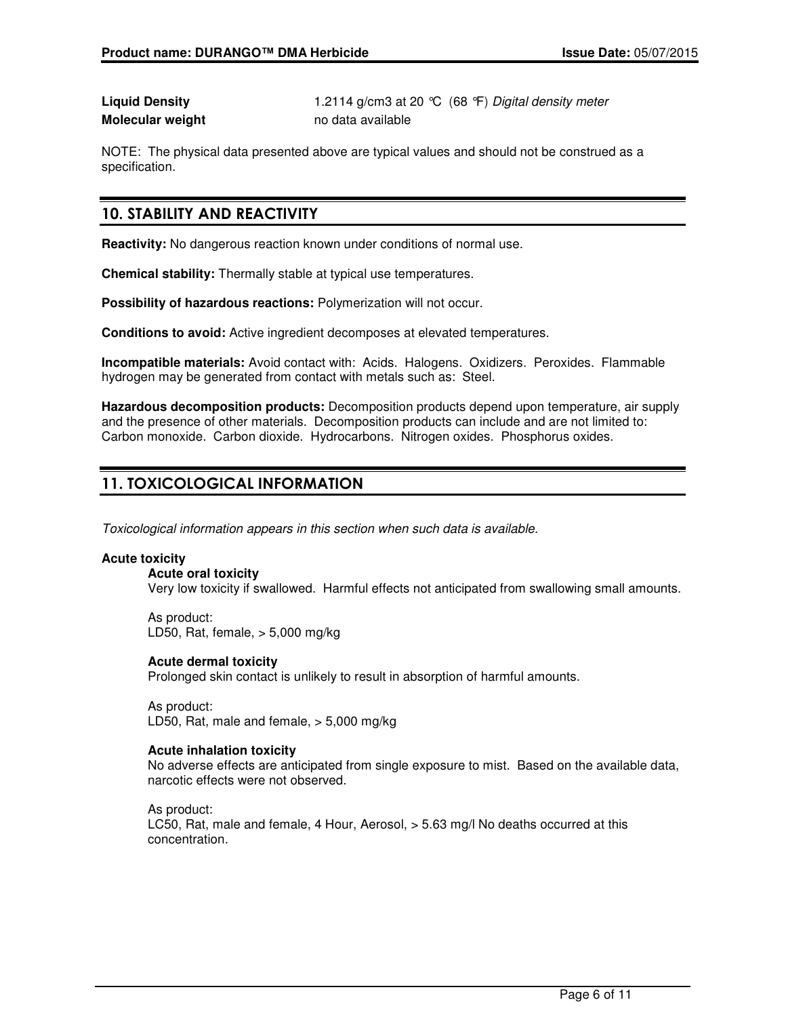# **Molecular weight** no data available

**Liquid Density** 1.2114 g/cm3 at 20 °C (68 °F) Digital density meter

NOTE: The physical data presented above are typical values and should not be construed as a specification.

# 10. STABILITY AND REACTIVITY

**Reactivity:** No dangerous reaction known under conditions of normal use.

**Chemical stability:** Thermally stable at typical use temperatures.

**Possibility of hazardous reactions:** Polymerization will not occur.

**Conditions to avoid:** Active ingredient decomposes at elevated temperatures.

**Incompatible materials:** Avoid contact with: Acids. Halogens. Oxidizers. Peroxides. Flammable hydrogen may be generated from contact with metals such as: Steel.

**Hazardous decomposition products:** Decomposition products depend upon temperature, air supply and the presence of other materials. Decomposition products can include and are not limited to: Carbon monoxide. Carbon dioxide. Hydrocarbons. Nitrogen oxides. Phosphorus oxides.

# 11. TOXICOLOGICAL INFORMATION

Toxicological information appears in this section when such data is available.

#### **Acute toxicity**

**Acute oral toxicity** Very low toxicity if swallowed. Harmful effects not anticipated from swallowing small amounts.

As product: LD50, Rat, female, > 5,000 mg/kg

**Acute dermal toxicity**

Prolonged skin contact is unlikely to result in absorption of harmful amounts.

As product: LD50, Rat, male and female, > 5,000 mg/kg

#### **Acute inhalation toxicity**

No adverse effects are anticipated from single exposure to mist. Based on the available data, narcotic effects were not observed.

As product: LC50, Rat, male and female, 4 Hour, Aerosol, > 5.63 mg/l No deaths occurred at this concentration.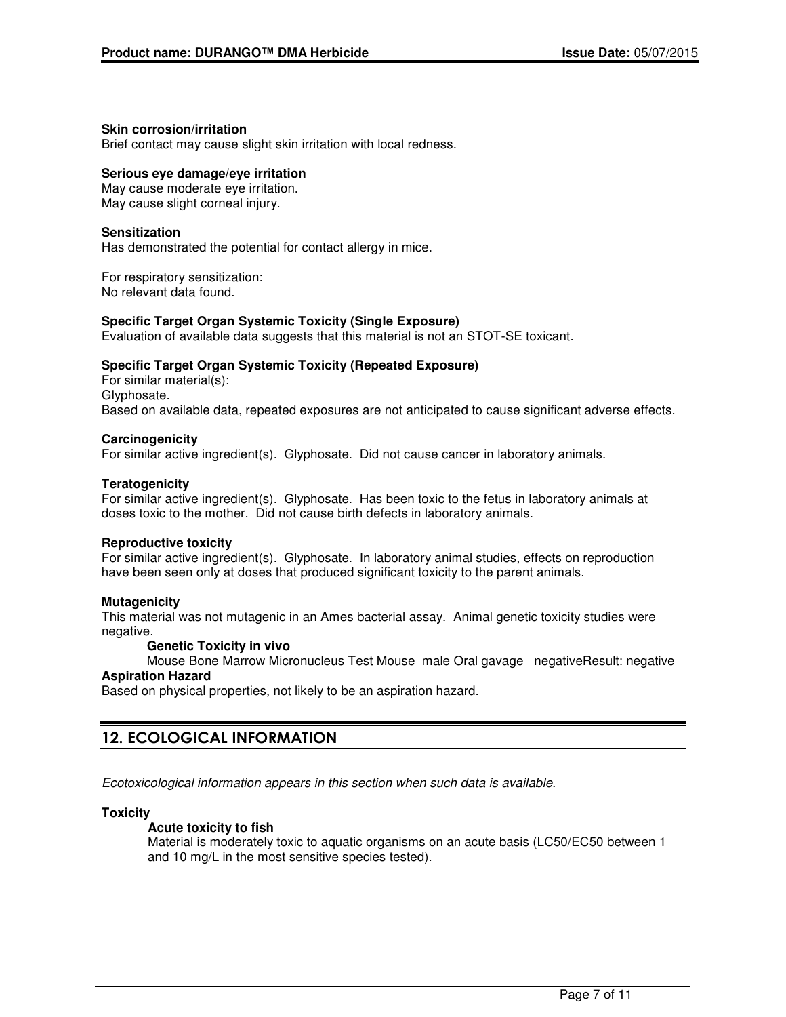#### **Skin corrosion/irritation**

Brief contact may cause slight skin irritation with local redness.

#### **Serious eye damage/eye irritation**

May cause moderate eye irritation. May cause slight corneal injury.

#### **Sensitization**

Has demonstrated the potential for contact allergy in mice.

For respiratory sensitization: No relevant data found.

#### **Specific Target Organ Systemic Toxicity (Single Exposure)**

Evaluation of available data suggests that this material is not an STOT-SE toxicant.

#### **Specific Target Organ Systemic Toxicity (Repeated Exposure)**

For similar material(s): Glyphosate. Based on available data, repeated exposures are not anticipated to cause significant adverse effects.

#### **Carcinogenicity**

For similar active ingredient(s). Glyphosate. Did not cause cancer in laboratory animals.

#### **Teratogenicity**

For similar active ingredient(s). Glyphosate. Has been toxic to the fetus in laboratory animals at doses toxic to the mother. Did not cause birth defects in laboratory animals.

#### **Reproductive toxicity**

For similar active ingredient(s). Glyphosate. In laboratory animal studies, effects on reproduction have been seen only at doses that produced significant toxicity to the parent animals.

#### **Mutagenicity**

This material was not mutagenic in an Ames bacterial assay. Animal genetic toxicity studies were negative.

#### **Genetic Toxicity in vivo**

Mouse Bone Marrow Micronucleus Test Mouse male Oral gavage negativeResult: negative **Aspiration Hazard**

Based on physical properties, not likely to be an aspiration hazard.

# 12. ECOLOGICAL INFORMATION

Ecotoxicological information appears in this section when such data is available.

#### **Toxicity**

#### **Acute toxicity to fish**

Material is moderately toxic to aquatic organisms on an acute basis (LC50/EC50 between 1 and 10 mg/L in the most sensitive species tested).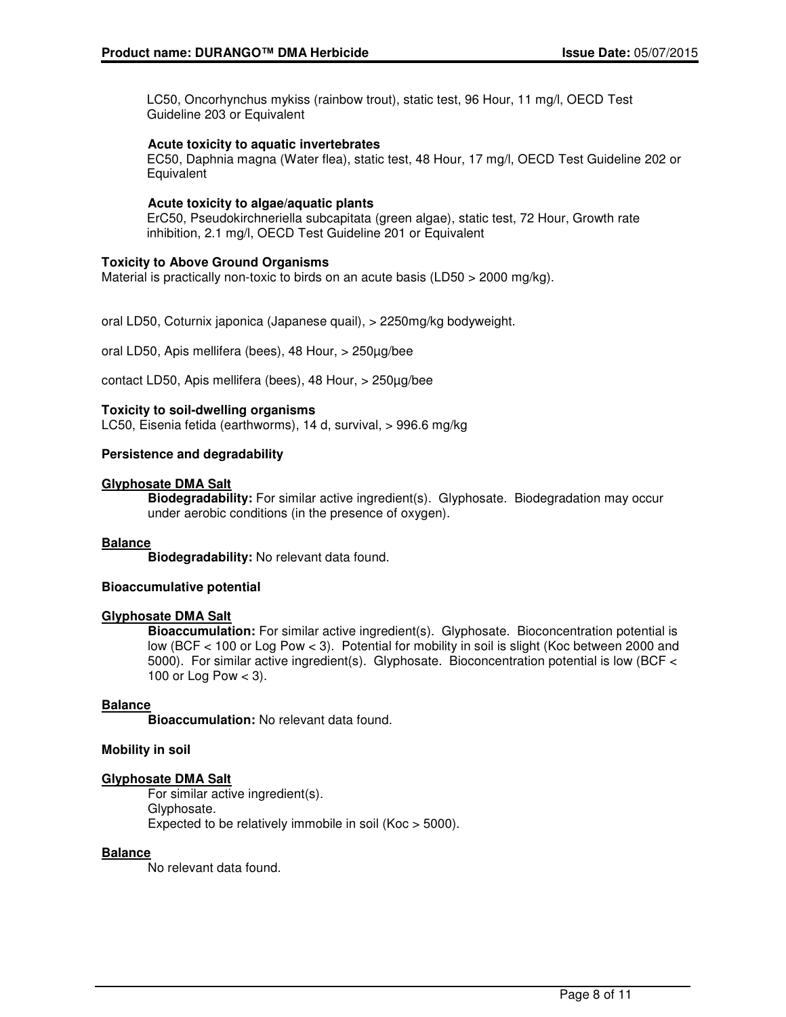LC50, Oncorhynchus mykiss (rainbow trout), static test, 96 Hour, 11 mg/l, OECD Test Guideline 203 or Equivalent

#### **Acute toxicity to aquatic invertebrates**

EC50, Daphnia magna (Water flea), static test, 48 Hour, 17 mg/l, OECD Test Guideline 202 or **Equivalent** 

#### **Acute toxicity to algae/aquatic plants**

ErC50, Pseudokirchneriella subcapitata (green algae), static test, 72 Hour, Growth rate inhibition, 2.1 mg/l, OECD Test Guideline 201 or Equivalent

#### **Toxicity to Above Ground Organisms**

Material is practically non-toxic to birds on an acute basis (LD50  $>$  2000 mg/kg).

oral LD50, Coturnix japonica (Japanese quail), > 2250mg/kg bodyweight.

oral LD50, Apis mellifera (bees), 48 Hour, > 250µg/bee

contact LD50, Apis mellifera (bees), 48 Hour, > 250µg/bee

#### **Toxicity to soil-dwelling organisms**

LC50, Eisenia fetida (earthworms), 14 d, survival, > 996.6 mg/kg

#### **Persistence and degradability**

#### **Glyphosate DMA Salt**

**Biodegradability:** For similar active ingredient(s). Glyphosate. Biodegradation may occur under aerobic conditions (in the presence of oxygen).

#### **Balance**

**Biodegradability:** No relevant data found.

#### **Bioaccumulative potential**

#### **Glyphosate DMA Salt**

**Bioaccumulation:** For similar active ingredient(s). Glyphosate. Bioconcentration potential is low (BCF < 100 or Log Pow < 3). Potential for mobility in soil is slight (Koc between 2000 and 5000). For similar active ingredient(s). Glyphosate. Bioconcentration potential is low (BCF < 100 or Log Pow  $<$  3).

#### **Balance**

**Bioaccumulation:** No relevant data found.

#### **Mobility in soil**

#### **Glyphosate DMA Salt**

For similar active ingredient(s). Glyphosate. Expected to be relatively immobile in soil (Koc > 5000).

#### **Balance**

No relevant data found.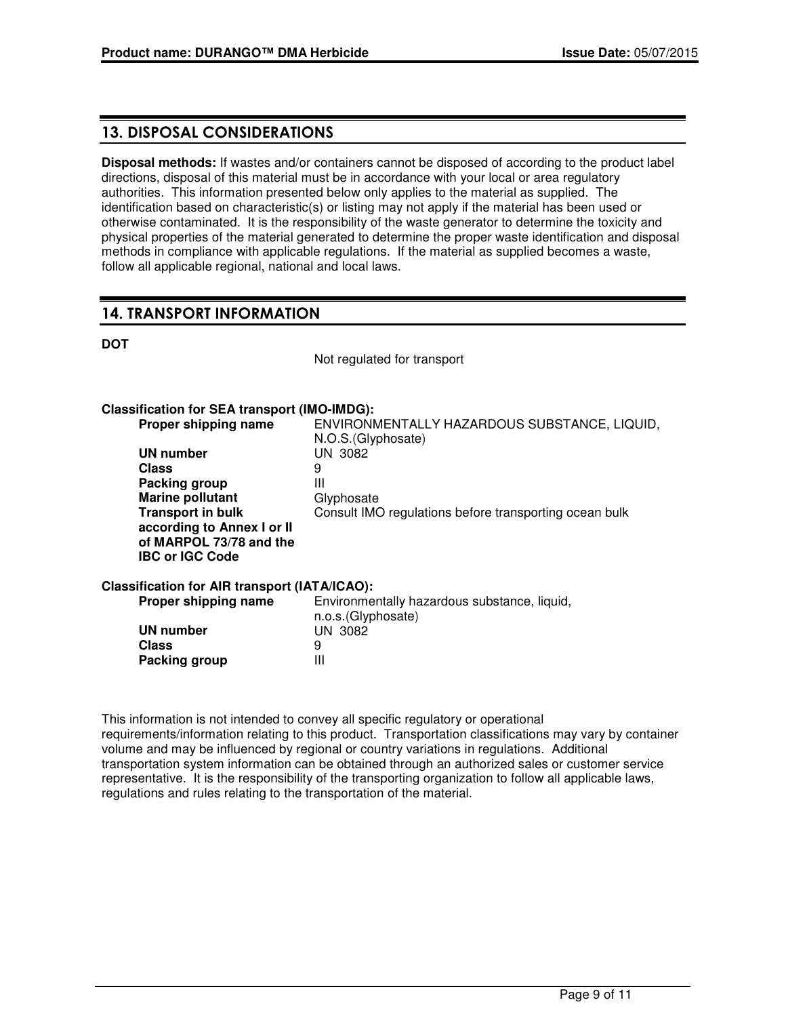# 13. DISPOSAL CONSIDERATIONS

**Disposal methods:** If wastes and/or containers cannot be disposed of according to the product label directions, disposal of this material must be in accordance with your local or area regulatory authorities. This information presented below only applies to the material as supplied. The identification based on characteristic(s) or listing may not apply if the material has been used or otherwise contaminated. It is the responsibility of the waste generator to determine the toxicity and physical properties of the material generated to determine the proper waste identification and disposal methods in compliance with applicable regulations. If the material as supplied becomes a waste, follow all applicable regional, national and local laws.

# 14. TRANSPORT INFORMATION

#### **DOT**

Not regulated for transport

## **Classification for SEA transport (IMO-IMDG):**

| Proper shipping name                          | ENVIRONMENTALLY HAZARDOUS SUBSTANCE, LIQUID,<br>N.O.S. (Glyphosate) |
|-----------------------------------------------|---------------------------------------------------------------------|
| UN number                                     | <b>UN 3082</b>                                                      |
| <b>Class</b>                                  | 9                                                                   |
| Packing group                                 | Ш                                                                   |
| <b>Marine pollutant</b>                       | Glyphosate                                                          |
| <b>Transport in bulk</b>                      | Consult IMO regulations before transporting ocean bulk              |
| according to Annex I or II                    |                                                                     |
| of MARPOL 73/78 and the                       |                                                                     |
| <b>IBC or IGC Code</b>                        |                                                                     |
| Classification for AIR transport (IATA/ICAO): |                                                                     |
| Proper shipping name                          | Environmentally hazardous substance, liquid,                        |
|                                               | n.o.s.(Glyphosate)                                                  |
| UN number                                     | <b>UN 3082</b>                                                      |
| <b>Class</b>                                  | 9                                                                   |
| Packing group                                 | Ш                                                                   |

This information is not intended to convey all specific regulatory or operational requirements/information relating to this product. Transportation classifications may vary by container volume and may be influenced by regional or country variations in regulations. Additional transportation system information can be obtained through an authorized sales or customer service representative. It is the responsibility of the transporting organization to follow all applicable laws, regulations and rules relating to the transportation of the material.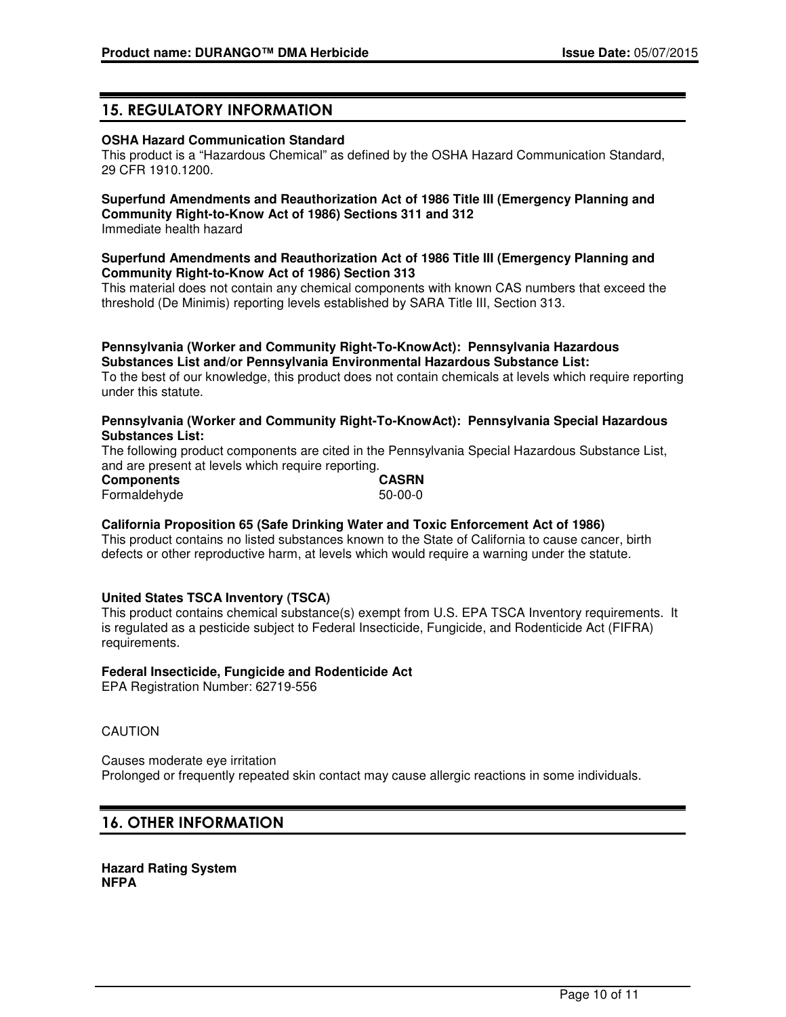# 15. REGULATORY INFORMATION

#### **OSHA Hazard Communication Standard**

This product is a "Hazardous Chemical" as defined by the OSHA Hazard Communication Standard, 29 CFR 1910.1200.

# **Superfund Amendments and Reauthorization Act of 1986 Title III (Emergency Planning and Community Right-to-Know Act of 1986) Sections 311 and 312**

Immediate health hazard

#### **Superfund Amendments and Reauthorization Act of 1986 Title III (Emergency Planning and Community Right-to-Know Act of 1986) Section 313**

This material does not contain any chemical components with known CAS numbers that exceed the threshold (De Minimis) reporting levels established by SARA Title III, Section 313.

#### **Pennsylvania (Worker and Community Right-To-KnowAct): Pennsylvania Hazardous Substances List and/or Pennsylvania Environmental Hazardous Substance List:**

To the best of our knowledge, this product does not contain chemicals at levels which require reporting under this statute.

#### **Pennsylvania (Worker and Community Right-To-KnowAct): Pennsylvania Special Hazardous Substances List:**

The following product components are cited in the Pennsylvania Special Hazardous Substance List, and are present at levels which require reporting.

| <b>Components</b> |  | <b>CASRN</b> |
|-------------------|--|--------------|
| Formaldehyde      |  | $50-00-0$    |

#### **California Proposition 65 (Safe Drinking Water and Toxic Enforcement Act of 1986)**

This product contains no listed substances known to the State of California to cause cancer, birth defects or other reproductive harm, at levels which would require a warning under the statute.

#### **United States TSCA Inventory (TSCA)**

This product contains chemical substance(s) exempt from U.S. EPA TSCA Inventory requirements. It is regulated as a pesticide subject to Federal Insecticide, Fungicide, and Rodenticide Act (FIFRA) requirements.

#### **Federal Insecticide, Fungicide and Rodenticide Act**

EPA Registration Number: 62719-556

#### CAUTION

Causes moderate eye irritation Prolonged or frequently repeated skin contact may cause allergic reactions in some individuals.

# 16. OTHER INFORMATION

**Hazard Rating System NFPA**